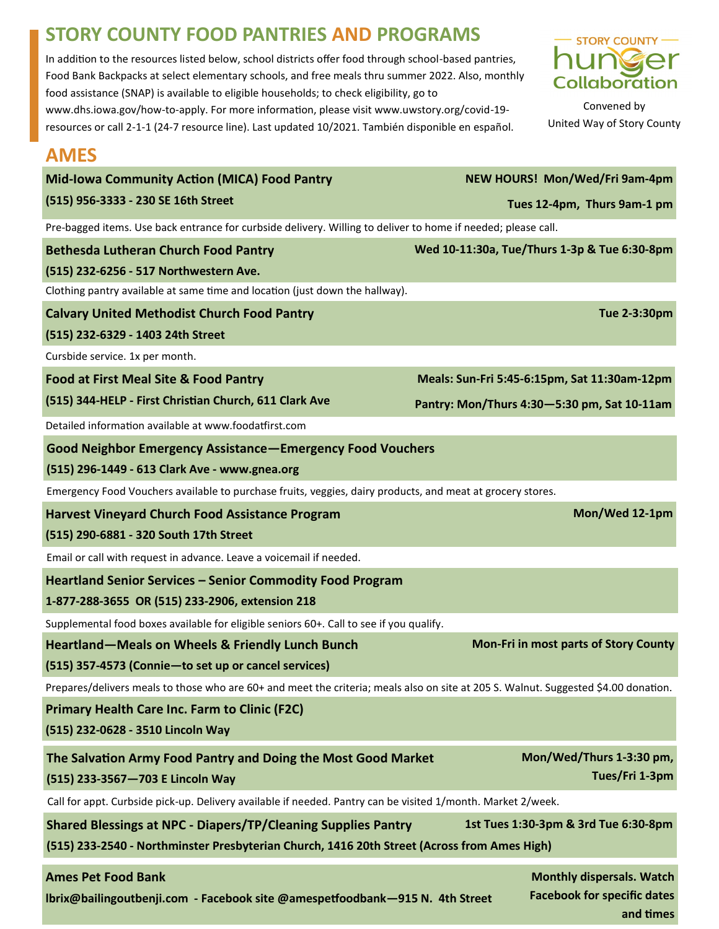## **STORY COUNTY FOOD PANTRIES AND PROGRAMS**

In addition to the resources listed below, school districts offer food through school-based pantries, Food Bank Backpacks at select elementary schools, and free meals thru summer 2022. Also, monthly food assistance (SNAP) is available to eligible households; to check eligibility, go to www.dhs.iowa.gov/how-to-apply. For more information, please visit www.uwstory.org/covid-19 resources or call 2-1-1 (24-7 resource line). Last updated 10/2021. También disponible en español.



Convened by United Way of Story County

## **AMES**

| Mid-Iowa Community Action (MICA) Food Pantry                                                                                        |  | NEW HOURS! Mon/Wed/Fri 9am-4pm               |                                              |  |  |
|-------------------------------------------------------------------------------------------------------------------------------------|--|----------------------------------------------|----------------------------------------------|--|--|
| (515) 956-3333 - 230 SE 16th Street                                                                                                 |  | Tues 12-4pm, Thurs 9am-1 pm                  |                                              |  |  |
| Pre-bagged items. Use back entrance for curbside delivery. Willing to deliver to home if needed; please call.                       |  |                                              |                                              |  |  |
| <b>Bethesda Lutheran Church Food Pantry</b>                                                                                         |  | Wed 10-11:30a, Tue/Thurs 1-3p & Tue 6:30-8pm |                                              |  |  |
| (515) 232-6256 - 517 Northwestern Ave.                                                                                              |  |                                              |                                              |  |  |
| Clothing pantry available at same time and location (just down the hallway).                                                        |  |                                              |                                              |  |  |
| Tue 2-3:30pm<br><b>Calvary United Methodist Church Food Pantry</b>                                                                  |  |                                              |                                              |  |  |
| (515) 232-6329 - 1403 24th Street                                                                                                   |  |                                              |                                              |  |  |
| Cursbide service. 1x per month.                                                                                                     |  |                                              |                                              |  |  |
| <b>Food at First Meal Site &amp; Food Pantry</b>                                                                                    |  | Meals: Sun-Fri 5:45-6:15pm, Sat 11:30am-12pm |                                              |  |  |
| (515) 344-HELP - First Christian Church, 611 Clark Ave                                                                              |  | Pantry: Mon/Thurs 4:30-5:30 pm, Sat 10-11am  |                                              |  |  |
| Detailed information available at www.foodatfirst.com                                                                               |  |                                              |                                              |  |  |
| <b>Good Neighbor Emergency Assistance-Emergency Food Vouchers</b>                                                                   |  |                                              |                                              |  |  |
| (515) 296-1449 - 613 Clark Ave - www.gnea.org                                                                                       |  |                                              |                                              |  |  |
| Emergency Food Vouchers available to purchase fruits, veggies, dairy products, and meat at grocery stores.                          |  |                                              |                                              |  |  |
| <b>Harvest Vineyard Church Food Assistance Program</b>                                                                              |  |                                              | Mon/Wed 12-1pm                               |  |  |
| (515) 290-6881 - 320 South 17th Street                                                                                              |  |                                              |                                              |  |  |
| Email or call with request in advance. Leave a voicemail if needed.                                                                 |  |                                              |                                              |  |  |
| <b>Heartland Senior Services - Senior Commodity Food Program</b>                                                                    |  |                                              |                                              |  |  |
| 1-877-288-3655 OR (515) 233-2906, extension 218                                                                                     |  |                                              |                                              |  |  |
| Supplemental food boxes available for eligible seniors 60+. Call to see if you qualify.                                             |  |                                              |                                              |  |  |
| Heartland-Meals on Wheels & Friendly Lunch Bunch                                                                                    |  |                                              | <b>Mon-Fri in most parts of Story County</b> |  |  |
| (515) 357-4573 (Connie-to set up or cancel services)                                                                                |  |                                              |                                              |  |  |
| Prepares/delivers meals to those who are 60+ and meet the criteria; meals also on site at 205 S. Walnut. Suggested \$4.00 donation. |  |                                              |                                              |  |  |
| <b>Primary Health Care Inc. Farm to Clinic (F2C)</b>                                                                                |  |                                              |                                              |  |  |
| (515) 232-0628 - 3510 Lincoln Way                                                                                                   |  |                                              |                                              |  |  |
| The Salvation Army Food Pantry and Doing the Most Good Market                                                                       |  |                                              | Mon/Wed/Thurs 1-3:30 pm,                     |  |  |
| (515) 233-3567-703 E Lincoln Way                                                                                                    |  |                                              | Tues/Fri 1-3pm                               |  |  |
| Call for appt. Curbside pick-up. Delivery available if needed. Pantry can be visited 1/month. Market 2/week.                        |  |                                              |                                              |  |  |
| 1st Tues 1:30-3pm & 3rd Tue 6:30-8pm<br><b>Shared Blessings at NPC - Diapers/TP/Cleaning Supplies Pantry</b>                        |  |                                              |                                              |  |  |
| (515) 233-2540 - Northminster Presbyterian Church, 1416 20th Street (Across from Ames High)                                         |  |                                              |                                              |  |  |
| <b>Ames Pet Food Bank</b>                                                                                                           |  |                                              | <b>Monthly dispersals. Watch</b>             |  |  |

**lbrix@bailingoutbenji.com - Facebook site @amespetfoodbank—915 N. 4th Street** 

**Facebook for specific dates and times**